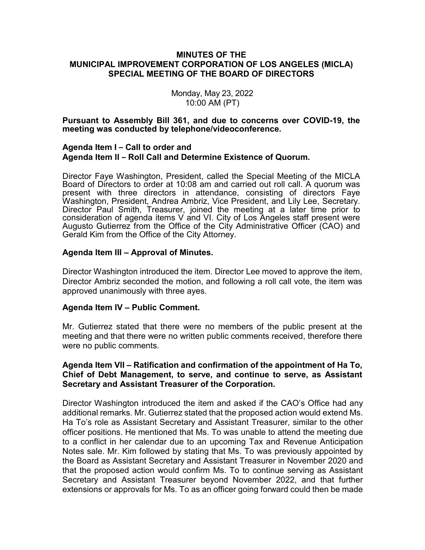## **MINUTES OF THE MUNICIPAL IMPROVEMENT CORPORATION OF LOS ANGELES (MICLA) SPECIAL MEETING OF THE BOARD OF DIRECTORS**

Monday, May 23, 2022 10:00 AM (PT)

**Pursuant to Assembly Bill 361, and due to concerns over COVID-19, the meeting was conducted by telephone/videoconference.**

# **Agenda Item I – Call to order and Agenda Item II – Roll Call and Determine Existence of Quorum.**

Director Faye Washington, President, called the Special Meeting of the MICLA Board of Directors to order at 10:08 am and carried out roll call. A quorum was present with three directors in attendance, consisting of directors Faye Washington, President, Andrea Ambriz, Vice President, and Lily Lee, Secretary. Director Paul Smith, Treasurer, joined the meeting at a later time prior to consideration of agenda items V and VI. City of Los Angeles staff present were Augusto Gutierrez from the Office of the City Administrative Officer (CAO) and Gerald Kim from the Office of the City Attorney.

# **Agenda Item III – Approval of Minutes.**

Director Washington introduced the item. Director Lee moved to approve the item, Director Ambriz seconded the motion, and following a roll call vote, the item was approved unanimously with three ayes.

### **Agenda Item IV – Public Comment.**

Mr. Gutierrez stated that there were no members of the public present at the meeting and that there were no written public comments received, therefore there were no public comments.

# **Agenda Item VII – Ratification and confirmation of the appointment of Ha To, Chief of Debt Management, to serve, and continue to serve, as Assistant Secretary and Assistant Treasurer of the Corporation.**

Director Washington introduced the item and asked if the CAO's Office had any additional remarks. Mr. Gutierrez stated that the proposed action would extend Ms. Ha To's role as Assistant Secretary and Assistant Treasurer, similar to the other officer positions. He mentioned that Ms. To was unable to attend the meeting due to a conflict in her calendar due to an upcoming Tax and Revenue Anticipation Notes sale. Mr. Kim followed by stating that Ms. To was previously appointed by the Board as Assistant Secretary and Assistant Treasurer in November 2020 and that the proposed action would confirm Ms. To to continue serving as Assistant Secretary and Assistant Treasurer beyond November 2022, and that further extensions or approvals for Ms. To as an officer going forward could then be made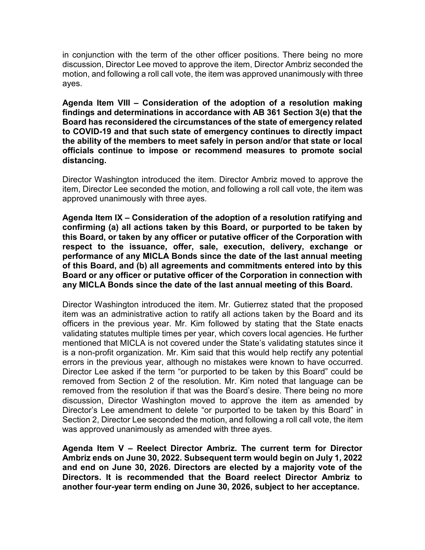in conjunction with the term of the other officer positions. There being no more discussion, Director Lee moved to approve the item, Director Ambriz seconded the motion, and following a roll call vote, the item was approved unanimously with three ayes.

**Agenda Item VIII – Consideration of the adoption of a resolution making findings and determinations in accordance with AB 361 Section 3(e) that the Board has reconsidered the circumstances of the state of emergency related to COVID-19 and that such state of emergency continues to directly impact the ability of the members to meet safely in person and/or that state or local officials continue to impose or recommend measures to promote social distancing.**

Director Washington introduced the item. Director Ambriz moved to approve the item, Director Lee seconded the motion, and following a roll call vote, the item was approved unanimously with three ayes.

**Agenda Item IX – Consideration of the adoption of a resolution ratifying and confirming (a) all actions taken by this Board, or purported to be taken by this Board, or taken by any officer or putative officer of the Corporation with respect to the issuance, offer, sale, execution, delivery, exchange or performance of any MICLA Bonds since the date of the last annual meeting of this Board, and (b) all agreements and commitments entered into by this Board or any officer or putative officer of the Corporation in connection with any MICLA Bonds since the date of the last annual meeting of this Board.** 

Director Washington introduced the item. Mr. Gutierrez stated that the proposed item was an administrative action to ratify all actions taken by the Board and its officers in the previous year. Mr. Kim followed by stating that the State enacts validating statutes multiple times per year, which covers local agencies. He further mentioned that MICLA is not covered under the State's validating statutes since it is a non-profit organization. Mr. Kim said that this would help rectify any potential errors in the previous year, although no mistakes were known to have occurred. Director Lee asked if the term "or purported to be taken by this Board" could be removed from Section 2 of the resolution. Mr. Kim noted that language can be removed from the resolution if that was the Board's desire. There being no more discussion, Director Washington moved to approve the item as amended by Director's Lee amendment to delete "or purported to be taken by this Board" in Section 2, Director Lee seconded the motion, and following a roll call vote, the item was approved unanimously as amended with three ayes.

**Agenda Item V – Reelect Director Ambriz. The current term for Director Ambriz ends on June 30, 2022. Subsequent term would begin on July 1, 2022 and end on June 30, 2026. Directors are elected by a majority vote of the Directors. It is recommended that the Board reelect Director Ambriz to another four-year term ending on June 30, 2026, subject to her acceptance.**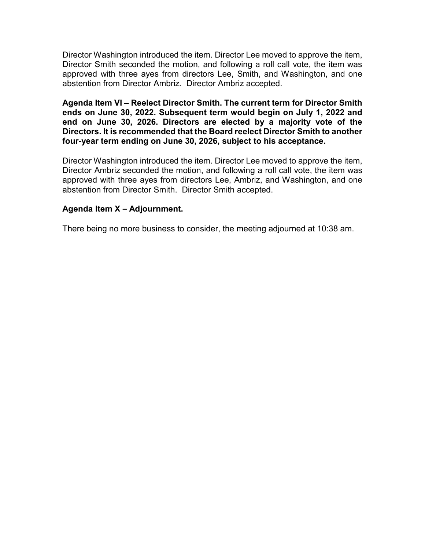Director Washington introduced the item. Director Lee moved to approve the item, Director Smith seconded the motion, and following a roll call vote, the item was approved with three ayes from directors Lee, Smith, and Washington, and one abstention from Director Ambriz. Director Ambriz accepted.

**Agenda Item VI – Reelect Director Smith. The current term for Director Smith ends on June 30, 2022. Subsequent term would begin on July 1, 2022 and end on June 30, 2026. Directors are elected by a majority vote of the Directors. It is recommended that the Board reelect Director Smith to another four-year term ending on June 30, 2026, subject to his acceptance.** 

Director Washington introduced the item. Director Lee moved to approve the item, Director Ambriz seconded the motion, and following a roll call vote, the item was approved with three ayes from directors Lee, Ambriz, and Washington, and one abstention from Director Smith. Director Smith accepted.

# **Agenda Item X – Adjournment.**

There being no more business to consider, the meeting adjourned at 10:38 am.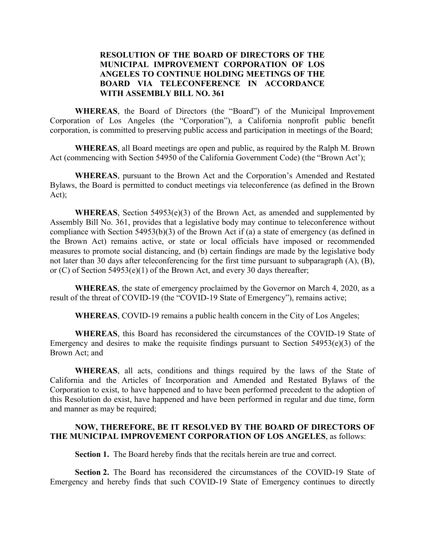# **RESOLUTION OF THE BOARD OF DIRECTORS OF THE MUNICIPAL IMPROVEMENT CORPORATION OF LOS ANGELES TO CONTINUE HOLDING MEETINGS OF THE BOARD VIA TELECONFERENCE IN ACCORDANCE WITH ASSEMBLY BILL NO. 361**

**WHEREAS**, the Board of Directors (the "Board") of the Municipal Improvement Corporation of Los Angeles (the "Corporation"), a California nonprofit public benefit corporation, is committed to preserving public access and participation in meetings of the Board;

**WHEREAS**, all Board meetings are open and public, as required by the Ralph M. Brown Act (commencing with Section 54950 of the California Government Code) (the "Brown Act');

**WHEREAS**, pursuant to the Brown Act and the Corporation's Amended and Restated Bylaws, the Board is permitted to conduct meetings via teleconference (as defined in the Brown Act);

**WHEREAS**, Section 54953(e)(3) of the Brown Act, as amended and supplemented by Assembly Bill No. 361, provides that a legislative body may continue to teleconference without compliance with Section 54953(b)(3) of the Brown Act if (a) a state of emergency (as defined in the Brown Act) remains active, or state or local officials have imposed or recommended measures to promote social distancing, and (b) certain findings are made by the legislative body not later than 30 days after teleconferencing for the first time pursuant to subparagraph (A), (B), or (C) of Section 54953(e)(1) of the Brown Act, and every 30 days thereafter;

**WHEREAS**, the state of emergency proclaimed by the Governor on March 4, 2020, as a result of the threat of COVID-19 (the "COVID-19 State of Emergency"), remains active;

**WHEREAS**, COVID-19 remains a public health concern in the City of Los Angeles;

**WHEREAS**, this Board has reconsidered the circumstances of the COVID-19 State of Emergency and desires to make the requisite findings pursuant to Section  $54953(e)(3)$  of the Brown Act; and

**WHEREAS**, all acts, conditions and things required by the laws of the State of California and the Articles of Incorporation and Amended and Restated Bylaws of the Corporation to exist, to have happened and to have been performed precedent to the adoption of this Resolution do exist, have happened and have been performed in regular and due time, form and manner as may be required;

#### **NOW, THEREFORE, BE IT RESOLVED BY THE BOARD OF DIRECTORS OF THE MUNICIPAL IMPROVEMENT CORPORATION OF LOS ANGELES**, as follows:

**Section 1.** The Board hereby finds that the recitals herein are true and correct.

**Section 2.** The Board has reconsidered the circumstances of the COVID-19 State of Emergency and hereby finds that such COVID-19 State of Emergency continues to directly